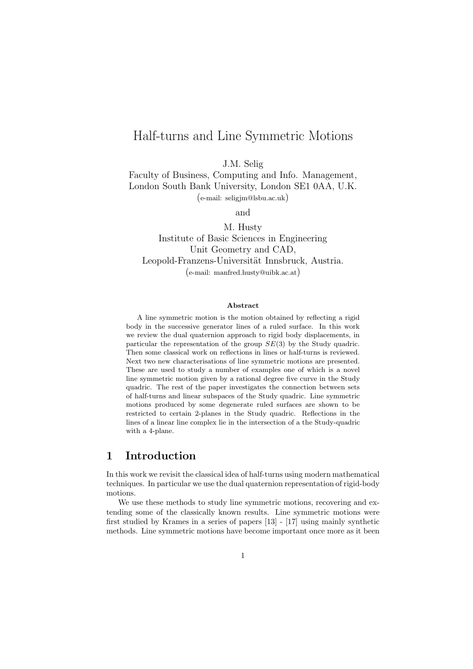# Half-turns and Line Symmetric Motions

J.M. Selig

Faculty of Business, Computing and Info. Management, London South Bank University, London SE1 0AA, U.K. (e-mail: seligjm@lsbu.ac.uk)

and

M. Husty Institute of Basic Sciences in Engineering Unit Geometry and CAD, Leopold-Franzens-Universität Innsbruck, Austria. (e-mail: manfred.husty@uibk.ac.at)

#### Abstract

A line symmetric motion is the motion obtained by reflecting a rigid body in the successive generator lines of a ruled surface. In this work we review the dual quaternion approach to rigid body displacements, in particular the representation of the group  $SE(3)$  by the Study quadric. Then some classical work on reflections in lines or half-turns is reviewed. Next two new characterisations of line symmetric motions are presented. These are used to study a number of examples one of which is a novel line symmetric motion given by a rational degree five curve in the Study quadric. The rest of the paper investigates the connection between sets of half-turns and linear subspaces of the Study quadric. Line symmetric motions produced by some degenerate ruled surfaces are shown to be restricted to certain 2-planes in the Study quadric. Reflections in the lines of a linear line complex lie in the intersection of a the Study-quadric with a 4-plane.

### 1 Introduction

In this work we revisit the classical idea of half-turns using modern mathematical techniques. In particular we use the dual quaternion representation of rigid-body motions.

We use these methods to study line symmetric motions, recovering and extending some of the classically known results. Line symmetric motions were first studied by Krames in a series of papers [13] - [17] using mainly synthetic methods. Line symmetric motions have become important once more as it been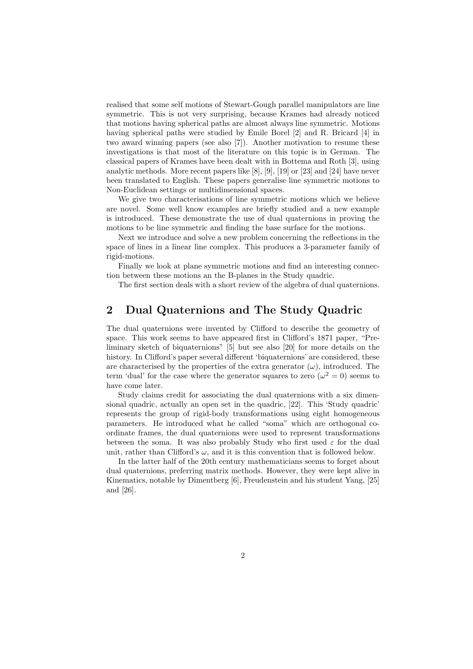realised that some self motions of Stewart-Gough parallel manipulators are line symmetric. This is not very surprising, because Krames had already noticed that motions having spherical paths are almost always line symmetric. Motions having spherical paths were studied by Emile Borel [2] and R. Bricard [4] in two award winning papers (see also [7]). Another motivation to resume these investigations is that most of the literature on this topic is in German. The classical papers of Krames have been dealt with in Bottema and Roth [3], using analytic methods. More recent papers like [8], [9], [19] or [23] and [24] have never been translated to English. These papers generalise line symmetric motions to Non-Euclidean settings or multidimensional spaces.

We give two characterisations of line symmetric motions which we believe are novel. Some well know examples are briefly studied and a new example is introduced. These demonstrate the use of dual quaternions in proving the motions to be line symmetric and finding the base surface for the motions.

Next we introduce and solve a new problem concerning the reflections in the space of lines in a linear line complex. This produces a 3-parameter family of rigid-motions.

Finally we look at plane symmetric motions and find an interesting connection between these motions an the B-planes in the Study quadric.

The first section deals with a short review of the algebra of dual quaternions.

# 2 Dual Quaternions and The Study Quadric

The dual quaternions were invented by Clifford to describe the geometry of space. This work seems to have appeared first in Clifford's 1871 paper, "Preliminary sketch of biquaternions" [5] but see also [20] for more details on the history. In Clifford's paper several different 'biquaternions' are considered, these are characterised by the properties of the extra generator  $(\omega)$ , introduced. The term 'dual' for the case where the generator squares to zero  $(\omega^2 = 0)$  seems to have come later.

Study claims credit for associating the dual quaternions with a six dimensional quadric, actually an open set in the quadric, [22]. This 'Study quadric' represents the group of rigid-body transformations using eight homogeneous parameters. He introduced what he called "soma" which are orthogonal coordinate frames, the dual quaternions were used to represent transformations between the soma. It was also probably Study who first used  $\varepsilon$  for the dual unit, rather than Clifford's  $\omega$ , and it is this convention that is followed below.

In the latter half of the 20th century mathematicians seems to forget about dual quaternions, preferring matrix methods. However, they were kept alive in Kinematics, notable by Dimentberg [6], Freudenstein and his student Yang, [25] and [26].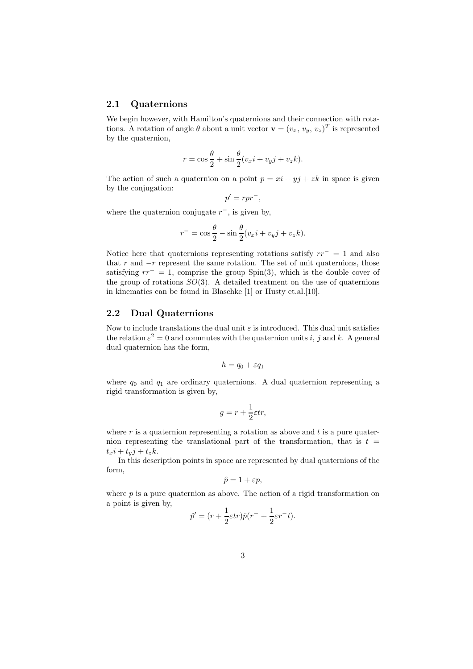#### 2.1 Quaternions

We begin however, with Hamilton's quaternions and their connection with rotations. A rotation of angle  $\theta$  about a unit vector  $\mathbf{v} = (v_x, v_y, v_z)^T$  is represented by the quaternion,

$$
r = \cos\frac{\theta}{2} + \sin\frac{\theta}{2}(v_x i + v_y j + v_z k).
$$

The action of such a quaternion on a point  $p = xi + yj + zk$  in space is given by the conjugation:

$$
p^{\prime}=rpr^{-},
$$

where the quaternion conjugate  $r^{-}$ , is given by,

$$
r^{-} = \cos\frac{\theta}{2} - \sin\frac{\theta}{2}(v_{x}i + v_{y}j + v_{z}k).
$$

Notice here that quaternions representing rotations satisfy  $rr^- = 1$  and also that r and  $-r$  represent the same rotation. The set of unit quaternions, those satisfying  $rr^- = 1$ , comprise the group Spin(3), which is the double cover of the group of rotations  $SO(3)$ . A detailed treatment on the use of quaternions in kinematics can be found in Blaschke [1] or Husty et.al.[10].

#### 2.2 Dual Quaternions

Now to include translations the dual unit  $\varepsilon$  is introduced. This dual unit satisfies the relation  $\varepsilon^2 = 0$  and commutes with the quaternion units i, j and k. A general dual quaternion has the form,

$$
h = q_0 + \varepsilon q_1
$$

where  $q_0$  and  $q_1$  are ordinary quaternions. A dual quaternion representing a rigid transformation is given by,

$$
g = r + \frac{1}{2}\varepsilon tr,
$$

where  $r$  is a quaternion representing a rotation as above and  $t$  is a pure quaternion representing the translational part of the transformation, that is  $t =$  $t_x i + t_y j + t_z k$ .

In this description points in space are represented by dual quaternions of the form,

$$
\hat{p} = 1 + \varepsilon p,
$$

where  $p$  is a pure quaternion as above. The action of a rigid transformation on a point is given by,

$$
\hat{p}' = (r + \frac{1}{2}\varepsilon tr)\hat{p}(r^- + \frac{1}{2}\varepsilon r^- t).
$$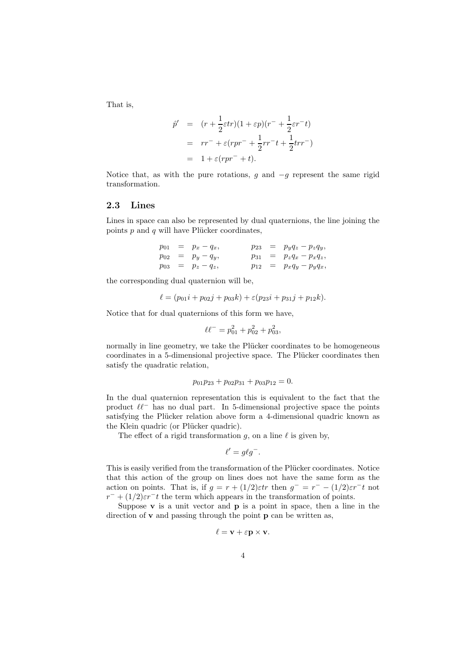That is,

$$
\hat{p}' = (r + \frac{1}{2}\varepsilon tr)(1 + \varepsilon p)(r^- + \frac{1}{2}\varepsilon r^- t)
$$
\n
$$
= rr^- + \varepsilon(rpr^- + \frac{1}{2}rr^- t + \frac{1}{2}trr^-)
$$
\n
$$
= 1 + \varepsilon(rpr^- + t).
$$

Notice that, as with the pure rotations, g and  $-g$  represent the same rigid transformation.

#### 2.3 Lines

Lines in space can also be represented by dual quaternions, the line joining the points  $p$  and  $q$  will have Plücker coordinates,

|  | $p_{01} = p_x - q_x,$ |  | $p_{23} = p_y q_z - p_z q_y,$ |
|--|-----------------------|--|-------------------------------|
|  | $p_{02} = p_y - q_y,$ |  | $p_{31} = p_z q_x - p_x q_z,$ |
|  | $p_{03} = p_z - q_z,$ |  | $p_{12} = p_x q_y - p_y q_x,$ |

the corresponding dual quaternion will be,

$$
\ell = (p_{01}i + p_{02}j + p_{03}k) + \varepsilon(p_{23}i + p_{31}j + p_{12}k).
$$

Notice that for dual quaternions of this form we have,

$$
\ell \ell^- = p_{01}^2 + p_{02}^2 + p_{03}^2,
$$

normally in line geometry, we take the Plücker coordinates to be homogeneous coordinates in a 5-dimensional projective space. The Plücker coordinates then satisfy the quadratic relation,

$$
p_{01}p_{23} + p_{02}p_{31} + p_{03}p_{12} = 0.
$$

In the dual quaternion representation this is equivalent to the fact that the product  $\ell\ell^-$  has no dual part. In 5-dimensional projective space the points satisfying the Plücker relation above form a 4-dimensional quadric known as the Klein quadric (or Plücker quadric).

The effect of a rigid transformation g, on a line  $\ell$  is given by,

$$
\ell' = g\ell g^-.
$$

This is easily verified from the transformation of the Plücker coordinates. Notice that this action of the group on lines does not have the same form as the action on points. That is, if  $g = r + (1/2) \varepsilon tr$  then  $g^- = r^- - (1/2) \varepsilon r^- t$  not  $r^- + (1/2)\varepsilon r^- t$  the term which appears in the transformation of points.

Suppose  $\bf{v}$  is a unit vector and  $\bf{p}$  is a point in space, then a line in the direction of  $\bf{v}$  and passing through the point  $\bf{p}$  can be written as,

$$
\ell = \mathbf{v} + \varepsilon \mathbf{p} \times \mathbf{v}.
$$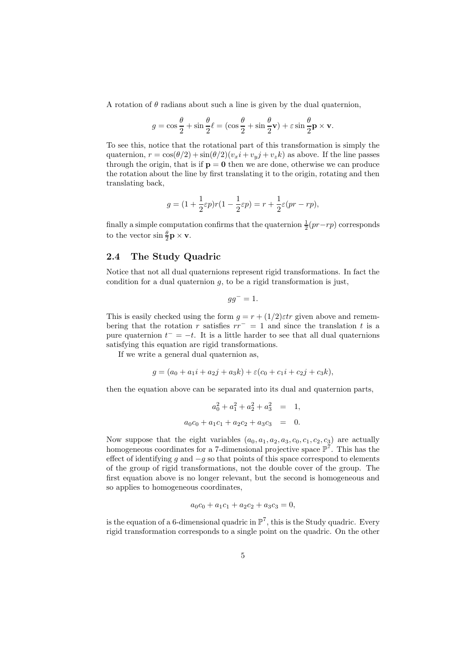A rotation of  $\theta$  radians about such a line is given by the dual quaternion,

$$
g = \cos\frac{\theta}{2} + \sin\frac{\theta}{2}\ell = (\cos\frac{\theta}{2} + \sin\frac{\theta}{2}\mathbf{v}) + \varepsilon\sin\frac{\theta}{2}\mathbf{p} \times \mathbf{v}.
$$

To see this, notice that the rotational part of this transformation is simply the quaternion,  $r = \cos(\theta/2) + \sin(\theta/2)(v_x i + v_y j + v_z k)$  as above. If the line passes through the origin, that is if  $p = 0$  then we are done, otherwise we can produce the rotation about the line by first translating it to the origin, rotating and then translating back,

$$
g = (1 + \frac{1}{2}\varepsilon p)r(1 - \frac{1}{2}\varepsilon p) = r + \frac{1}{2}\varepsilon(pr - rp),
$$

finally a simple computation confirms that the quaternion  $\frac{1}{2}(pr-rp)$  corresponds to the vector  $\sin \frac{\theta}{2} \mathbf{p} \times \mathbf{v}$ .

### 2.4 The Study Quadric

Notice that not all dual quaternions represent rigid transformations. In fact the condition for a dual quaternion  $g$ , to be a rigid transformation is just,

$$
gg^-=1.
$$

This is easily checked using the form  $g = r + (1/2) \varepsilon tr$  given above and remembering that the rotation r satisfies  $rr^- = 1$  and since the translation t is a pure quaternion  $t^- = -t$ . It is a little harder to see that all dual quaternions satisfying this equation are rigid transformations.

If we write a general dual quaternion as,

$$
g = (a_0 + a_1i + a_2j + a_3k) + \varepsilon(c_0 + c_1i + c_2j + c_3k),
$$

then the equation above can be separated into its dual and quaternion parts,

$$
a_0^2 + a_1^2 + a_2^2 + a_3^2 = 1,
$$
  

$$
a_0c_0 + a_1c_1 + a_2c_2 + a_3c_3 = 0.
$$

Now suppose that the eight variables  $(a_0, a_1, a_2, a_3, c_0, c_1, c_2, c_3)$  are actually homogeneous coordinates for a 7-dimensional projective space  $\mathbb{P}^7$ . This has the effect of identifying g and  $-g$  so that points of this space correspond to elements of the group of rigid transformations, not the double cover of the group. The first equation above is no longer relevant, but the second is homogeneous and so applies to homogeneous coordinates,

$$
a_0c_0 + a_1c_1 + a_2c_2 + a_3c_3 = 0,
$$

is the equation of a 6-dimensional quadric in  $\mathbb{P}^7$ , this is the Study quadric. Every rigid transformation corresponds to a single point on the quadric. On the other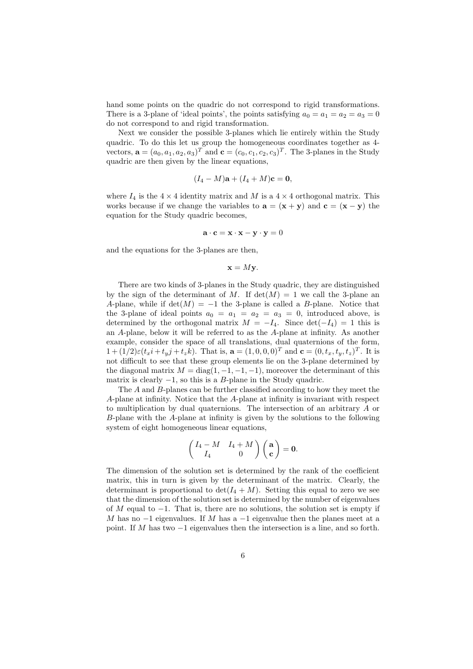hand some points on the quadric do not correspond to rigid transformations. There is a 3-plane of 'ideal points', the points satisfying  $a_0 = a_1 = a_2 = a_3 = 0$ do not correspond to and rigid transformation.

Next we consider the possible 3-planes which lie entirely within the Study quadric. To do this let us group the homogeneous coordinates together as 4 vectors,  $\mathbf{a} = (a_0, a_1, a_2, a_3)^T$  and  $\mathbf{c} = (c_0, c_1, c_2, c_3)^T$ . The 3-planes in the Study quadric are then given by the linear equations,

$$
(I_4-M)\mathbf{a}+(I_4+M)\mathbf{c}=\mathbf{0},
$$

where  $I_4$  is the  $4 \times 4$  identity matrix and M is a  $4 \times 4$  orthogonal matrix. This works because if we change the variables to  $\mathbf{a} = (\mathbf{x} + \mathbf{y})$  and  $\mathbf{c} = (\mathbf{x} - \mathbf{y})$  the equation for the Study quadric becomes,

$$
\mathbf{a} \cdot \mathbf{c} = \mathbf{x} \cdot \mathbf{x} - \mathbf{y} \cdot \mathbf{y} = 0
$$

and the equations for the 3-planes are then,

$$
\mathbf{x} = M\mathbf{y}.
$$

There are two kinds of 3-planes in the Study quadric, they are distinguished by the sign of the determinant of M. If  $\det(M) = 1$  we call the 3-plane an A-plane, while if  $\det(M) = -1$  the 3-plane is called a B-plane. Notice that the 3-plane of ideal points  $a_0 = a_1 = a_2 = a_3 = 0$ , introduced above, is determined by the orthogonal matrix  $M = -I_4$ . Since  $det(-I_4) = 1$  this is an A-plane, below it will be referred to as the A-plane at infinity. As another example, consider the space of all translations, dual quaternions of the form,  $1 + (1/2)\varepsilon (t_x i + t_y j + t_z k)$ . That is,  $\mathbf{a} = (1, 0, 0, 0)^T$  and  $\mathbf{c} = (0, t_x, t_y, t_z)^T$ . It is not difficult to see that these group elements lie on the 3-plane determined by the diagonal matrix  $M = \text{diag}(1, -1, -1, -1)$ , moreover the determinant of this matrix is clearly  $-1$ , so this is a B-plane in the Study quadric.

The A and B-planes can be further classified according to how they meet the A-plane at infinity. Notice that the A-plane at infinity is invariant with respect to multiplication by dual quaternions. The intersection of an arbitrary A or B-plane with the A-plane at infinity is given by the solutions to the following system of eight homogeneous linear equations,

$$
\begin{pmatrix} I_4 - M & I_4 + M \\ I_4 & 0 \end{pmatrix} \begin{pmatrix} \mathbf{a} \\ \mathbf{c} \end{pmatrix} = \mathbf{0}.
$$

The dimension of the solution set is determined by the rank of the coefficient matrix, this in turn is given by the determinant of the matrix. Clearly, the determinant is proportional to  $\det(I_4 + M)$ . Setting this equal to zero we see that the dimension of the solution set is determined by the number of eigenvalues of M equal to  $-1$ . That is, there are no solutions, the solution set is empty if M has no  $-1$  eigenvalues. If M has a  $-1$  eigenvalue then the planes meet at a point. If M has two  $-1$  eigenvalues then the intersection is a line, and so forth.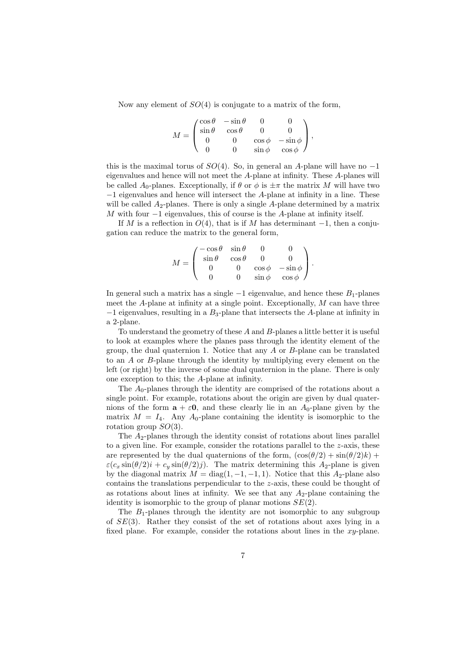Now any element of  $SO(4)$  is conjugate to a matrix of the form,

$$
M = \begin{pmatrix} \cos\theta & -\sin\theta & 0 & 0 \\ \sin\theta & \cos\theta & 0 & 0 \\ 0 & 0 & \cos\phi & -\sin\phi \\ 0 & 0 & \sin\phi & \cos\phi \end{pmatrix},
$$

this is the maximal torus of  $SO(4)$ . So, in general an A-plane will have no -1 eigenvalues and hence will not meet the A-plane at infinity. These A-planes will be called A<sub>0</sub>-planes. Exceptionally, if  $\theta$  or  $\phi$  is  $\pm \pi$  the matrix M will have two −1 eigenvalues and hence will intersect the A-plane at infinity in a line. These will be called  $A_2$ -planes. There is only a single  $A$ -plane determined by a matrix M with four  $-1$  eigenvalues, this of course is the A-plane at infinity itself.

If M is a reflection in  $O(4)$ , that is if M has determinant  $-1$ , then a conjugation can reduce the matrix to the general form,

|     | $\ell - \cos \theta$ | $\sin\theta$ |             |               |  |
|-----|----------------------|--------------|-------------|---------------|--|
| $=$ | $\sin \theta$        | $\cos\theta$ |             |               |  |
|     |                      |              | $\cos \phi$ | $-\sin\phi$   |  |
|     |                      |              | $\sin \phi$ | $\cos \phi$ / |  |

In general such a matrix has a single  $-1$  eigenvalue, and hence these  $B_1$ -planes meet the  $A$ -plane at infinity at a single point. Exceptionally,  $M$  can have three  $-1$  eigenvalues, resulting in a  $B_3$ -plane that intersects the A-plane at infinity in a 2-plane.

To understand the geometry of these A and B-planes a little better it is useful to look at examples where the planes pass through the identity element of the group, the dual quaternion 1. Notice that any A or B-plane can be translated to an A or B-plane through the identity by multiplying every element on the left (or right) by the inverse of some dual quaternion in the plane. There is only one exception to this; the A-plane at infinity.

The  $A_0$ -planes through the identity are comprised of the rotations about a single point. For example, rotations about the origin are given by dual quaternions of the form  $\mathbf{a} + \varepsilon \mathbf{0}$ , and these clearly lie in an  $A_0$ -plane given by the matrix  $M = I_4$ . Any  $A_0$ -plane containing the identity is isomorphic to the rotation group  $SO(3)$ .

The  $A_2$ -planes through the identity consist of rotations about lines parallel to a given line. For example, consider the rotations parallel to the  $z$ -axis, these are represented by the dual quaternions of the form,  $(\cos(\theta/2) + \sin(\theta/2)k)$  +  $\varepsilon(c_x \sin(\theta/2) i + c_y \sin(\theta/2) j)$ . The matrix determining this A<sub>2</sub>-plane is given by the diagonal matrix  $M = \text{diag}(1, -1, -1, 1)$ . Notice that this A<sub>2</sub>-plane also contains the translations perpendicular to the z-axis, these could be thought of as rotations about lines at infinity. We see that any  $A_2$ -plane containing the identity is isomorphic to the group of planar motions  $SE(2)$ .

The  $B_1$ -planes through the identity are not isomorphic to any subgroup of  $SE(3)$ . Rather they consist of the set of rotations about axes lying in a fixed plane. For example, consider the rotations about lines in the xy-plane.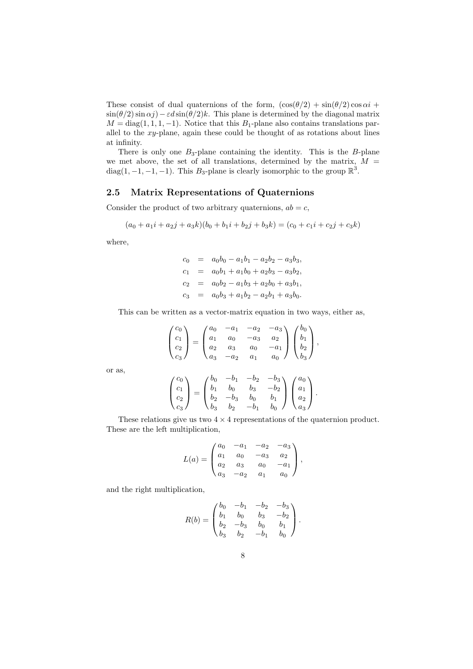These consist of dual quaternions of the form,  $(\cos(\theta/2) + \sin(\theta/2) \cos \alpha i +$  $\sin(\theta/2)\sin(\alpha j)-\epsilon d\sin(\theta/2)k$ . This plane is determined by the diagonal matrix  $M = \text{diag}(1, 1, 1, -1)$ . Notice that this  $B_1$ -plane also contains translations parallel to the xy-plane, again these could be thought of as rotations about lines at infinity.

There is only one  $B_3$ -plane containing the identity. This is the  $B$ -plane we met above, the set of all translations, determined by the matrix,  $M =$ diag(1, -1, -1, -1). This B<sub>3</sub>-plane is clearly isomorphic to the group  $\mathbb{R}^3$ .

### 2.5 Matrix Representations of Quaternions

Consider the product of two arbitrary quaternions,  $ab = c$ ,

$$
(a_0 + a_1i + a_2j + a_3k)(b_0 + b_1i + b_2j + b_3k) = (c_0 + c_1i + c_2j + c_3k)
$$

where,

$$
c_0 = a_0b_0 - a_1b_1 - a_2b_2 - a_3b_3,
$$
  
\n
$$
c_1 = a_0b_1 + a_1b_0 + a_2b_3 - a_3b_2,
$$
  
\n
$$
c_2 = a_0b_2 - a_1b_3 + a_2b_0 + a_3b_1,
$$
  
\n
$$
c_3 = a_0b_3 + a_1b_2 - a_2b_1 + a_3b_0.
$$

This can be written as a vector-matrix equation in two ways, either as,

$$
\begin{pmatrix} c_0 \\ c_1 \\ c_2 \\ c_3 \end{pmatrix} = \begin{pmatrix} a_0 & -a_1 & -a_2 & -a_3 \\ a_1 & a_0 & -a_3 & a_2 \\ a_2 & a_3 & a_0 & -a_1 \\ a_3 & -a_2 & a_1 & a_0 \end{pmatrix} \begin{pmatrix} b_0 \\ b_1 \\ b_2 \\ b_3 \end{pmatrix},
$$

or as,

$$
\begin{pmatrix} c_0 \\ c_1 \\ c_2 \\ c_3 \end{pmatrix} = \begin{pmatrix} b_0 & -b_1 & -b_2 & -b_3 \\ b_1 & b_0 & b_3 & -b_2 \\ b_2 & -b_3 & b_0 & b_1 \\ b_3 & b_2 & -b_1 & b_0 \end{pmatrix} \begin{pmatrix} a_0 \\ a_1 \\ a_2 \\ a_3 \end{pmatrix}.
$$

These relations give us two  $4 \times 4$  representations of the quaternion product. These are the left multiplication,

$$
L(a) = \begin{pmatrix} a_0 & -a_1 & -a_2 & -a_3 \\ a_1 & a_0 & -a_3 & a_2 \\ a_2 & a_3 & a_0 & -a_1 \\ a_3 & -a_2 & a_1 & a_0 \end{pmatrix},
$$

and the right multiplication,

$$
R(b) = \begin{pmatrix} b_0 & -b_1 & -b_2 & -b_3 \ b_1 & b_0 & b_3 & -b_2 \ b_2 & -b_3 & b_0 & b_1 \ b_3 & b_2 & -b_1 & b_0 \end{pmatrix}.
$$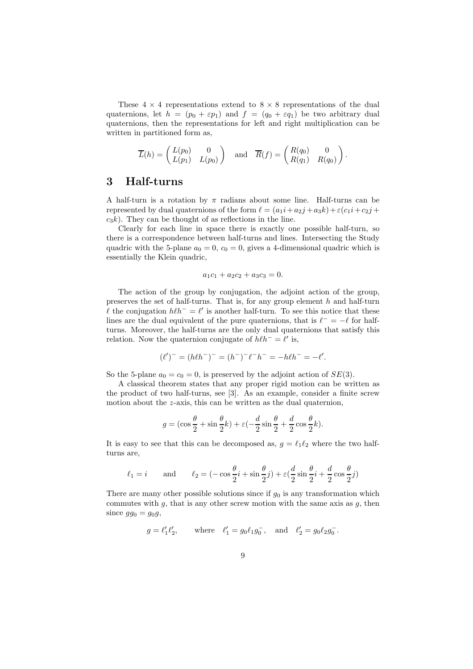These  $4 \times 4$  representations extend to  $8 \times 8$  representations of the dual quaternions, let  $h = (p_0 + \varepsilon p_1)$  and  $f = (q_0 + \varepsilon q_1)$  be two arbitrary dual quaternions, then the representations for left and right multiplication can be written in partitioned form as,

$$
\overline{L}(h) = \begin{pmatrix} L(p_0) & 0 \\ L(p_1) & L(p_0) \end{pmatrix} \text{ and } \overline{R}(f) = \begin{pmatrix} R(q_0) & 0 \\ R(q_1) & R(q_0) \end{pmatrix}.
$$

# 3 Half-turns

A half-turn is a rotation by  $\pi$  radians about some line. Half-turns can be represented by dual quaternions of the form  $\ell = (a_1i + a_2j + a_3k) + \varepsilon (c_1i + c_2j +$  $c_3k$ . They can be thought of as reflections in the line.

Clearly for each line in space there is exactly one possible half-turn, so there is a correspondence between half-turns and lines. Intersecting the Study quadric with the 5-plane  $a_0 = 0$ ,  $c_0 = 0$ , gives a 4-dimensional quadric which is essentially the Klein quadric,

$$
a_1c_1 + a_2c_2 + a_3c_3 = 0.
$$

The action of the group by conjugation, the adjoint action of the group, preserves the set of half-turns. That is, for any group element  $h$  and half-turn l the conjugation  $h\ell h$ <sup>−</sup> =  $\ell'$  is another half-turn. To see this notice that these lines are the dual equivalent of the pure quaternions, that is  $\ell^- = -\ell$  for halfturns. Moreover, the half-turns are the only dual quaternions that satisfy this relation. Now the quaternion conjugate of  $h\ell h^- = \ell'$  is,

$$
(\ell')^- = (h\ell h^-)^- = (h^-)^-\ell^- h^- = -h\ell h^- = -\ell'.
$$

So the 5-plane  $a_0 = c_0 = 0$ , is preserved by the adjoint action of  $SE(3)$ .

A classical theorem states that any proper rigid motion can be written as the product of two half-turns, see [3]. As an example, consider a finite screw motion about the z-axis, this can be written as the dual quaternion,

$$
g = (\cos\frac{\theta}{2} + \sin\frac{\theta}{2}k) + \varepsilon(-\frac{d}{2}\sin\frac{\theta}{2} + \frac{d}{2}\cos\frac{\theta}{2}k).
$$

It is easy to see that this can be decomposed as,  $g = \ell_1 \ell_2$  where the two halfturns are,

$$
\ell_1=i\qquad\text{and}\qquad \ell_2=(-\cos\frac{\theta}{2}i+\sin\frac{\theta}{2}j)+\varepsilon(\frac{d}{2}\sin\frac{\theta}{2}i+\frac{d}{2}\cos\frac{\theta}{2}j)
$$

There are many other possible solutions since if  $g_0$  is any transformation which commutes with  $g$ , that is any other screw motion with the same axis as  $g$ , then since  $gg_0 = g_0g$ ,

$$
g = \ell'_1 \ell'_2
$$
, where  $\ell'_1 = g_0 \ell_1 g_0^-$ , and  $\ell'_2 = g_0 \ell_2 g_0^-$ 

.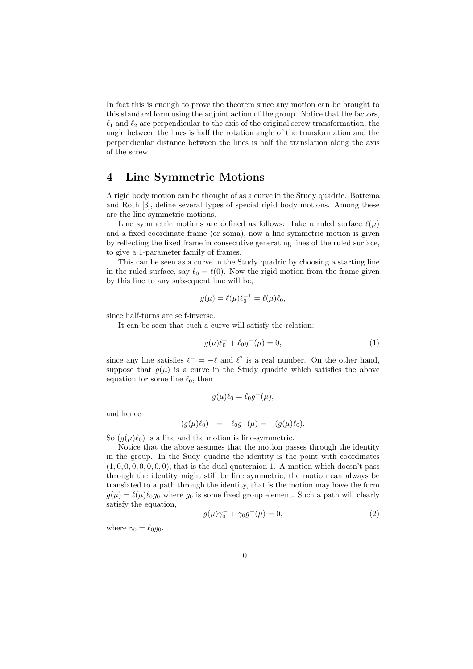In fact this is enough to prove the theorem since any motion can be brought to this standard form using the adjoint action of the group. Notice that the factors,  $\ell_1$  and  $\ell_2$  are perpendicular to the axis of the original screw transformation, the angle between the lines is half the rotation angle of the transformation and the perpendicular distance between the lines is half the translation along the axis of the screw.

### 4 Line Symmetric Motions

A rigid body motion can be thought of as a curve in the Study quadric. Bottema and Roth [3], define several types of special rigid body motions. Among these are the line symmetric motions.

Line symmetric motions are defined as follows: Take a ruled surface  $\ell(\mu)$ and a fixed coordinate frame (or soma), now a line symmetric motion is given by reflecting the fixed frame in consecutive generating lines of the ruled surface, to give a 1-parameter family of frames.

This can be seen as a curve in the Study quadric by choosing a starting line in the ruled surface, say  $\ell_0 = \ell(0)$ . Now the rigid motion from the frame given by this line to any subsequent line will be,

$$
g(\mu) = \ell(\mu)\ell_0^{-1} = \ell(\mu)\ell_0,
$$

since half-turns are self-inverse.

It can be seen that such a curve will satisfy the relation:

$$
g(\mu)\ell_0^- + \ell_0 g^-(\mu) = 0,\t\t(1)
$$

since any line satisfies  $\ell^- = -\ell$  and  $\ell^2$  is a real number. On the other hand, suppose that  $g(\mu)$  is a curve in the Study quadric which satisfies the above equation for some line  $\ell_0$ , then

$$
g(\mu)\ell_0 = \ell_0 g^{-}(\mu),
$$

and hence

$$
(g(\mu)\ell_0)^{-} = -\ell_0 g^{-}(\mu) = -(g(\mu)\ell_0).
$$

So  $(g(\mu)\ell_0)$  is a line and the motion is line-symmetric.

Notice that the above assumes that the motion passes through the identity in the group. In the Sudy quadric the identity is the point with coordinates  $(1, 0, 0, 0, 0, 0, 0, 0)$ , that is the dual quaternion 1. A motion which doesn't pass through the identity might still be line symmetric, the motion can always be translated to a path through the identity, that is the motion may have the form  $g(\mu) = \ell(\mu)\ell_0 g_0$  where  $g_0$  is some fixed group element. Such a path will clearly satisfy the equation,

$$
g(\mu)\gamma_0^- + \gamma_0 g^-(\mu) = 0,\tag{2}
$$

where  $\gamma_0 = \ell_0 q_0$ .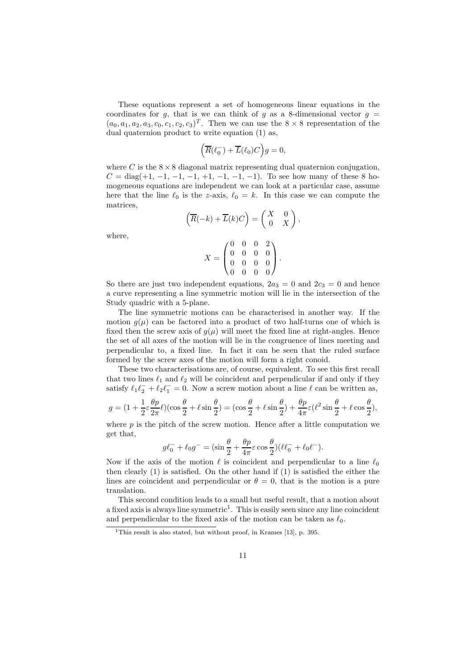These equations represent a set of homogeneous linear equations in the coordinates for g, that is we can think of g as a 8-dimensional vector  $g =$  $(a_0, a_1, a_2, a_3, c_0, c_1, c_2, c_3)^T$ . Then we can use the  $8 \times 8$  representation of the dual quaternion product to write equation (1) as,

$$
\left(\overline{R}(\ell_0^-) + \overline{L}(\ell_0)C\right)g = 0,
$$

where C is the  $8 \times 8$  diagonal matrix representing dual quaternion conjugation,  $C = diag(+1, -1, -1, -1, +1, -1, -1, -1)$ . To see how many of these 8 homogeneous equations are independent we can look at a particular case, assume here that the line  $\ell_0$  is the z-axis,  $\ell_0 = k$ . In this case we can compute the matrices,

$$
\left(\overline{R}(-k) + \overline{L}(k)C\right) = \begin{pmatrix} X & 0 \\ 0 & X \end{pmatrix},
$$

$$
\begin{pmatrix} 0 & 0 & 0 & 2 \\ 0 & 0 & 0 & 0 \end{pmatrix}
$$

where,

$$
X = \begin{pmatrix} 0 & 0 & 0 & 0 \\ 0 & 0 & 0 & 0 \\ 0 & 0 & 0 & 0 \end{pmatrix}.
$$

So there are just two independent equations,  $2a_3 = 0$  and  $2c_3 = 0$  and hence a curve representing a line symmetric motion will lie in the intersection of the Study quadric with a 5-plane.

The line symmetric motions can be characterised in another way. If the motion  $g(\mu)$  can be factored into a product of two half-turns one of which is fixed then the screw axis of  $g(\mu)$  will meet the fixed line at right-angles. Hence the set of all axes of the motion will lie in the congruence of lines meeting and perpendicular to, a fixed line. In fact it can be seen that the ruled surface formed by the screw axes of the motion will form a right conoid.

These two characterisations are, of course, equivalent. To see this first recall that two lines  $\ell_1$  and  $\ell_2$  will be coincident and perpendicular if and only if they satisfy  $\ell_1 \ell_2^- + \ell_2 \ell_1^- = 0$ . Now a screw motion about a line  $\ell$  can be written as,

$$
g=(1+\frac{1}{2}\varepsilon\frac{\theta p}{2\pi}\ell)(\cos\frac{\theta}{2}+\ell\sin\frac{\theta}{2})=(\cos\frac{\theta}{2}+\ell\sin\frac{\theta}{2})+\frac{\theta p}{4\pi}\varepsilon(\ell^2\sin\frac{\theta}{2}+\ell\cos\frac{\theta}{2}),
$$

where  $p$  is the pitch of the screw motion. Hence after a little computation we get that,

$$
g\ell_0^- + \ell_0 g^- = (\sin\frac{\theta}{2} + \frac{\theta p}{4\pi}\varepsilon \cos\frac{\theta}{2})(\ell\ell_0^- + \ell_0\ell^-).
$$

Now if the axis of the motion  $\ell$  is coincident and perpendicular to a line  $\ell_0$ then clearly (1) is satisfied. On the other hand if (1) is satisfied the either the lines are coincident and perpendicular or  $\theta = 0$ , that is the motion is a pure translation.

This second condition leads to a small but useful result, that a motion about a fixed axis is always line symmetric<sup>1</sup>. This is easily seen since any line coincident and perpendicular to the fixed axis of the motion can be taken as  $\ell_0$ .

<sup>&</sup>lt;sup>1</sup>This result is also stated, but without proof, in Krames [13], p. 395.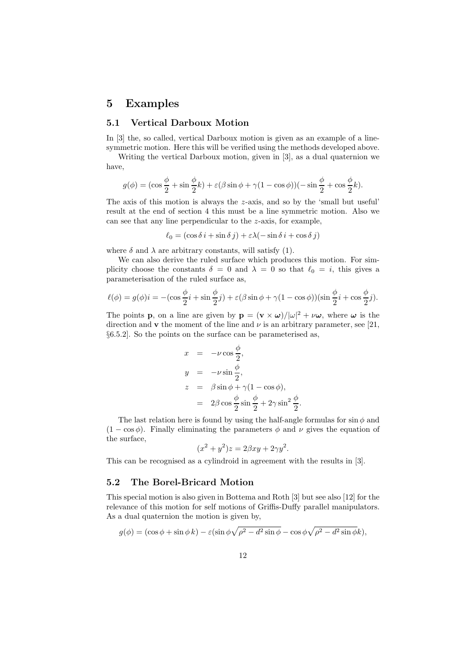# 5 Examples

### 5.1 Vertical Darboux Motion

In [3] the, so called, vertical Darboux motion is given as an example of a linesymmetric motion. Here this will be verified using the methods developed above.

Writing the vertical Darboux motion, given in [3], as a dual quaternion we have,

$$
g(\phi) = (\cos\frac{\phi}{2} + \sin\frac{\phi}{2}k) + \varepsilon(\beta\sin\phi + \gamma(1 - \cos\phi))(-\sin\frac{\phi}{2} + \cos\frac{\phi}{2}k).
$$

The axis of this motion is always the z-axis, and so by the 'small but useful' result at the end of section 4 this must be a line symmetric motion. Also we can see that any line perpendicular to the z-axis, for example,

 $\ell_0 = (\cos \delta i + \sin \delta j) + \varepsilon \lambda (-\sin \delta i + \cos \delta j)$ 

where  $\delta$  and  $\lambda$  are arbitrary constants, will satisfy (1).

We can also derive the ruled surface which produces this motion. For simplicity choose the constants  $\delta = 0$  and  $\lambda = 0$  so that  $\ell_0 = i$ , this gives a parameterisation of the ruled surface as,

$$
\ell(\phi) = g(\phi)i = -(\cos\frac{\phi}{2}i + \sin\frac{\phi}{2}j) + \varepsilon(\beta\sin\phi + \gamma(1 - \cos\phi))(\sin\frac{\phi}{2}i + \cos\frac{\phi}{2}j).
$$

The points **p**, on a line are given by  $\mathbf{p} = (\mathbf{v} \times \boldsymbol{\omega})/|\boldsymbol{\omega}|^2 + \nu \boldsymbol{\omega}$ , where  $\boldsymbol{\omega}$  is the direction and **v** the moment of the line and  $\nu$  is an arbitrary parameter, see [21, §6.5.2]. So the points on the surface can be parameterised as,

$$
x = -\nu \cos \frac{\phi}{2},
$$
  
\n
$$
y = -\nu \sin \frac{\phi}{2},
$$
  
\n
$$
z = \beta \sin \phi + \gamma (1 - \cos \phi),
$$
  
\n
$$
= 2\beta \cos \frac{\phi}{2} \sin \frac{\phi}{2} + 2\gamma \sin^2 \frac{\phi}{2}.
$$

The last relation here is found by using the half-angle formulas for  $\sin \phi$  and  $(1 - \cos \phi)$ . Finally eliminating the parameters  $\phi$  and  $\nu$  gives the equation of the surface,

$$
(x^2 + y^2)z = 2\beta xy + 2\gamma y^2.
$$

This can be recognised as a cylindroid in agreement with the results in [3].

#### 5.2 The Borel-Bricard Motion

This special motion is also given in Bottema and Roth [3] but see also [12] for the relevance of this motion for self motions of Griffis-Duffy parallel manipulators. As a dual quaternion the motion is given by,

$$
g(\phi) = (\cos \phi + \sin \phi k) - \varepsilon (\sin \phi \sqrt{\rho^2 - d^2 \sin \phi} - \cos \phi \sqrt{\rho^2 - d^2 \sin \phi k}),
$$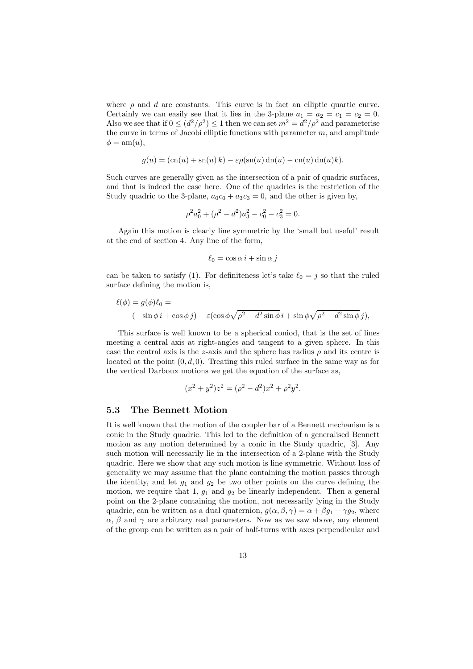where  $\rho$  and  $d$  are constants. This curve is in fact an elliptic quartic curve. Certainly we can easily see that it lies in the 3-plane  $a_1 = a_2 = c_1 = c_2 = 0$ . Also we see that if  $0 \leq (d^2/\rho^2) \leq 1$  then we can set  $m^2 = d^2/\rho^2$  and parameterise the curve in terms of Jacobi elliptic functions with parameter  $m$ , and amplitude  $\phi = \text{am}(u),$ 

$$
g(u) = (\text{cn}(u) + \text{sn}(u) k) - \varepsilon \rho(\text{sn}(u) \, \text{dn}(u) - \text{cn}(u) \, \text{dn}(u) k).
$$

Such curves are generally given as the intersection of a pair of quadric surfaces, and that is indeed the case here. One of the quadrics is the restriction of the Study quadric to the 3-plane,  $a_0c_0 + a_3c_3 = 0$ , and the other is given by,

$$
\rho^2 a_0^2 + (\rho^2 - d^2) a_3^2 - c_0^2 - c_3^2 = 0.
$$

Again this motion is clearly line symmetric by the 'small but useful' result at the end of section 4. Any line of the form,

$$
\ell_0 = \cos \alpha \, i + \sin \alpha \, j
$$

can be taken to satisfy (1). For definiteness let's take  $\ell_0 = j$  so that the ruled surface defining the motion is,

$$
\ell(\phi) = g(\phi)\ell_0 =
$$
  

$$
(-\sin\phi i + \cos\phi j) - \varepsilon(\cos\phi\sqrt{\rho^2 - d^2\sin\phi} i + \sin\phi\sqrt{\rho^2 - d^2\sin\phi} j),
$$

This surface is well known to be a spherical coniod, that is the set of lines meeting a central axis at right-angles and tangent to a given sphere. In this case the central axis is the z-axis and the sphere has radius  $\rho$  and its centre is located at the point  $(0, d, 0)$ . Treating this ruled surface in the same way as for the vertical Darboux motions we get the equation of the surface as,

$$
(x^{2} + y^{2})z^{2} = (\rho^{2} - d^{2})x^{2} + \rho^{2}y^{2}.
$$

#### 5.3 The Bennett Motion

It is well known that the motion of the coupler bar of a Bennett mechanism is a conic in the Study quadric. This led to the definition of a generalised Bennett motion as any motion determined by a conic in the Study quadric, [3]. Any such motion will necessarily lie in the intersection of a 2-plane with the Study quadric. Here we show that any such motion is line symmetric. Without loss of generality we may assume that the plane containing the motion passes through the identity, and let  $g_1$  and  $g_2$  be two other points on the curve defining the motion, we require that 1,  $g_1$  and  $g_2$  be linearly independent. Then a general point on the 2-plane containing the motion, not necessarily lying in the Study quadric, can be written as a dual quaternion,  $g(\alpha, \beta, \gamma) = \alpha + \beta g_1 + \gamma g_2$ , where  $\alpha$ ,  $\beta$  and  $\gamma$  are arbitrary real parameters. Now as we saw above, any element of the group can be written as a pair of half-turns with axes perpendicular and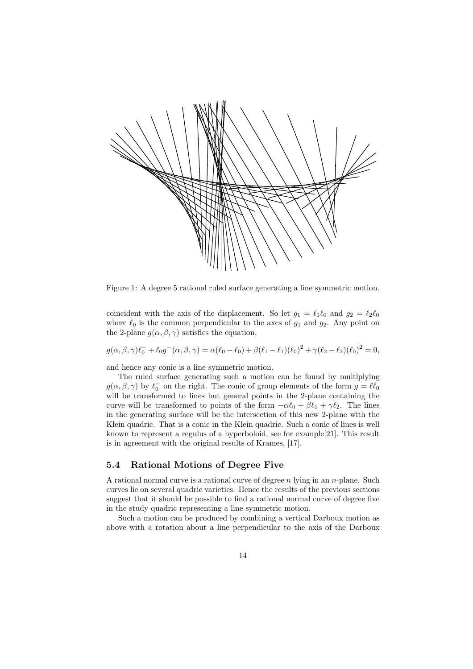

Figure 1: A degree 5 rational ruled surface generating a line symmetric motion.

coincident with the axis of the displacement. So let  $g_1 = \ell_1 \ell_0$  and  $g_2 = \ell_2 \ell_0$ where  $\ell_0$  is the common perpendicular to the axes of  $g_1$  and  $g_2$ . Any point on the 2-plane  $g(\alpha, \beta, \gamma)$  satisfies the equation,

 $g(\alpha, \beta, \gamma)\ell_0^- + \ell_0 g^-(\alpha, \beta, \gamma) = \alpha(\ell_0 - \ell_0) + \beta(\ell_1 - \ell_1)(\ell_0)^2 + \gamma(\ell_2 - \ell_2)(\ell_0)^2 = 0,$ 

and hence any conic is a line symmetric motion.

The ruled surface generating such a motion can be found by multiplying  $g(\alpha,\beta,\gamma)$  by  $\ell_0^-$  on the right. The conic of group elements of the form  $g = \ell \ell_0$ will be transformed to lines but general points in the 2-plane containing the curve will be transformed to points of the form  $-\alpha \ell_0 + \beta \ell_1 + \gamma \ell_2$ . The lines in the generating surface will be the intersection of this new 2-plane with the Klein quadric. That is a conic in the Klein quadric. Such a conic of lines is well known to represent a regulus of a hyperboloid, see for example[21]. This result is in agreement with the original results of Krames, [17].

### 5.4 Rational Motions of Degree Five

A rational normal curve is a rational curve of degree  $n$  lying in an  $n$ -plane. Such curves lie on several quadric varieties. Hence the results of the previous sections suggest that it should be possible to find a rational normal curve of degree five in the study quadric representing a line symmetric motion.

Such a motion can be produced by combining a vertical Darboux motion as above with a rotation about a line perpendicular to the axis of the Darboux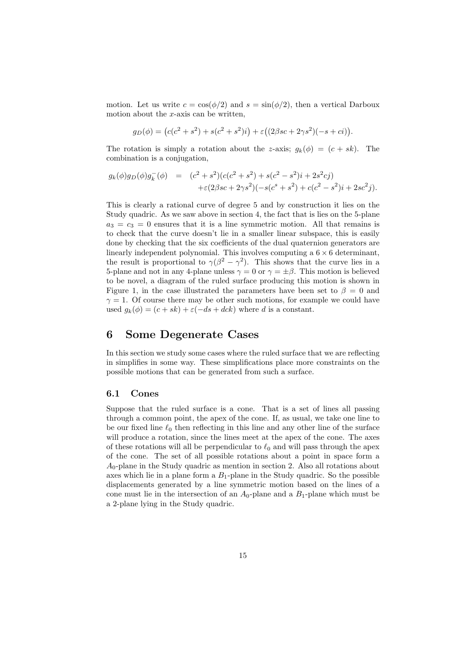motion. Let us write  $c = \cos(\phi/2)$  and  $s = \sin(\phi/2)$ , then a vertical Darboux motion about the  $x$ -axis can be written,

$$
g_D(\phi) = (c(c^2 + s^2) + s(c^2 + s^2)i) + \varepsilon((2\beta sc + 2\gamma s^2)(-s + ci)).
$$

The rotation is simply a rotation about the z-axis;  $g_k(\phi) = (c + sk)$ . The combination is a conjugation,

$$
g_k(\phi)g_D(\phi)g_k^-(\phi) = (c^2 + s^2)(c(c^2 + s^2) + s(c^2 - s^2)i + 2s^2cj) + \varepsilon(2\beta sc + 2\gamma s^2)(-s(c^s + s^2) + c(c^2 - s^2)i + 2sc^2 j).
$$

This is clearly a rational curve of degree 5 and by construction it lies on the Study quadric. As we saw above in section 4, the fact that is lies on the 5-plane  $a_3 = c_3 = 0$  ensures that it is a line symmetric motion. All that remains is to check that the curve doesn't lie in a smaller linear subspace, this is easily done by checking that the six coefficients of the dual quaternion generators are linearly independent polynomial. This involves computing a  $6 \times 6$  determinant, the result is proportional to  $\gamma(\beta^2 - \gamma^2)$ . This shows that the curve lies in a 5-plane and not in any 4-plane unless  $\gamma = 0$  or  $\gamma = \pm \beta$ . This motion is believed to be novel, a diagram of the ruled surface producing this motion is shown in Figure 1, in the case illustrated the parameters have been set to  $\beta = 0$  and  $\gamma = 1$ . Of course there may be other such motions, for example we could have used  $q_k(\phi) = (c + sk) + \varepsilon(-ds + dck)$  where d is a constant.

## 6 Some Degenerate Cases

In this section we study some cases where the ruled surface that we are reflecting in simplifies in some way. These simplifications place more constraints on the possible motions that can be generated from such a surface.

#### 6.1 Cones

Suppose that the ruled surface is a cone. That is a set of lines all passing through a common point, the apex of the cone. If, as usual, we take one line to be our fixed line  $\ell_0$  then reflecting in this line and any other line of the surface will produce a rotation, since the lines meet at the apex of the cone. The axes of these rotations will all be perpendicular to  $\ell_0$  and will pass through the apex of the cone. The set of all possible rotations about a point in space form a  $A_0$ -plane in the Study quadric as mention in section 2. Also all rotations about axes which lie in a plane form a  $B_1$ -plane in the Study quadric. So the possible displacements generated by a line symmetric motion based on the lines of a cone must lie in the intersection of an  $A_0$ -plane and a  $B_1$ -plane which must be a 2-plane lying in the Study quadric.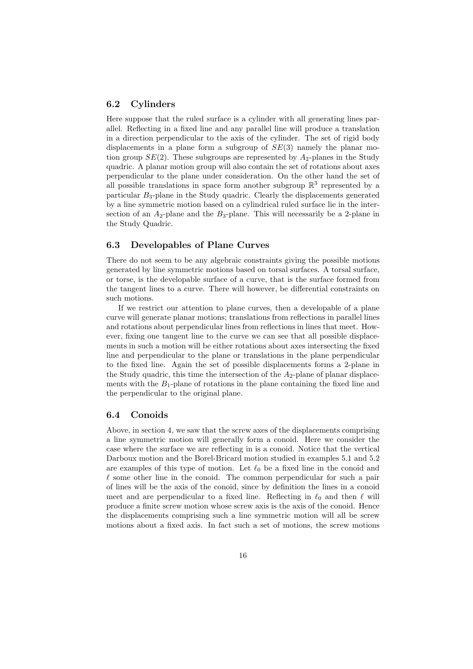#### 6.2 Cylinders

Here suppose that the ruled surface is a cylinder with all generating lines parallel. Reflecting in a fixed line and any parallel line will produce a translation in a direction perpendicular to the axis of the cylinder. The set of rigid body displacements in a plane form a subgroup of  $SE(3)$  namely the planar motion group  $SE(2)$ . These subgroups are represented by  $A_2$ -planes in the Study quadric. A planar motion group will also contain the set of rotations about axes perpendicular to the plane under consideration. On the other hand the set of all possible translations in space form another subgroup  $\mathbb{R}^3$  represented by a particular B3-plane in the Study quadric. Clearly the displacements generated by a line symmetric motion based on a cylindrical ruled surface lie in the intersection of an  $A_2$ -plane and the  $B_3$ -plane. This will necessarily be a 2-plane in the Study Quadric.

#### 6.3 Developables of Plane Curves

There do not seem to be any algebraic constraints giving the possible motions generated by line symmetric motions based on torsal surfaces. A torsal surface, or torse, is the developable surface of a curve, that is the surface formed from the tangent lines to a curve. There will however, be differential constraints on such motions.

If we restrict our attention to plane curves, then a developable of a plane curve will generate planar motions; translations from reflections in parallel lines and rotations about perpendicular lines from reflections in lines that meet. However, fixing one tangent line to the curve we can see that all possible displacements in such a motion will be either rotations about axes intersecting the fixed line and perpendicular to the plane or translations in the plane perpendicular to the fixed line. Again the set of possible displacements forms a 2-plane in the Study quadric, this time the intersection of the  $A_2$ -plane of planar displacements with the  $B_1$ -plane of rotations in the plane containing the fixed line and the perpendicular to the original plane.

#### 6.4 Conoids

Above, in section 4, we saw that the screw axes of the displacements comprising a line symmetric motion will generally form a conoid. Here we consider the case where the surface we are reflecting in is a conoid. Notice that the vertical Darboux motion and the Borel-Bricard motion studied in examples 5.1 and 5.2 are examples of this type of motion. Let  $\ell_0$  be a fixed line in the conoid and  $\ell$  some other line in the conoid. The common perpendicular for such a pair of lines will be the axis of the conoid, since by definition the lines in a conoid meet and are perpendicular to a fixed line. Reflecting in  $\ell_0$  and then  $\ell$  will produce a finite screw motion whose screw axis is the axis of the conoid. Hence the displacements comprising such a line symmetric motion will all be screw motions about a fixed axis. In fact such a set of motions, the screw motions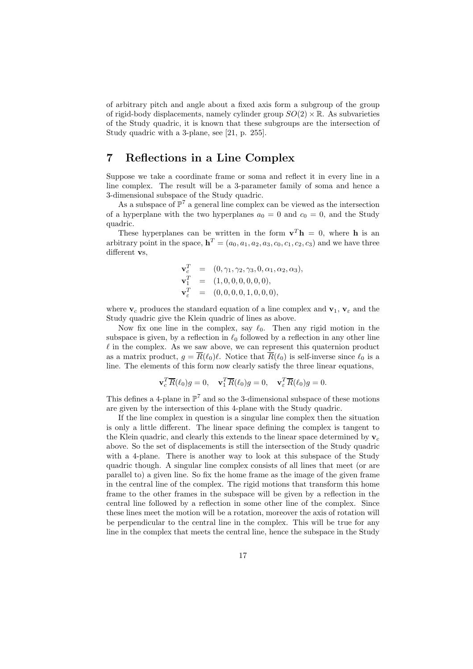of arbitrary pitch and angle about a fixed axis form a subgroup of the group of rigid-body displacements, namely cylinder group  $SO(2) \times \mathbb{R}$ . As subvarieties of the Study quadric, it is known that these subgroups are the intersection of Study quadric with a 3-plane, see [21, p. 255].

# 7 Reflections in a Line Complex

Suppose we take a coordinate frame or soma and reflect it in every line in a line complex. The result will be a 3-parameter family of soma and hence a 3-dimensional subspace of the Study quadric.

As a subspace of  $\mathbb{P}^7$  a general line complex can be viewed as the intersection of a hyperplane with the two hyperplanes  $a_0 = 0$  and  $c_0 = 0$ , and the Study quadric.

These hyperplanes can be written in the form  $\mathbf{v}^T \mathbf{h} = 0$ , where **h** is an arbitrary point in the space,  $\mathbf{h}^T = (a_0, a_1, a_2, a_3, c_0, c_1, c_2, c_3)$  and we have three different vs.

$$
\begin{array}{rcl}\n\mathbf{v}_c^T &=& (0, \gamma_1, \gamma_2, \gamma_3, 0, \alpha_1, \alpha_2, \alpha_3), \\
\mathbf{v}_1^T &=& (1, 0, 0, 0, 0, 0, 0), \\
\mathbf{v}_\varepsilon^T &=& (0, 0, 0, 0, 1, 0, 0, 0),\n\end{array}
$$

where  $v_c$  produces the standard equation of a line complex and  $v_1, v_{\varepsilon}$  and the Study quadric give the Klein quadric of lines as above.

Now fix one line in the complex, say  $\ell_0$ . Then any rigid motion in the subspace is given, by a reflection in  $\ell_0$  followed by a reflection in any other line  $\ell$  in the complex. As we saw above, we can represent this quaternion product as a matrix product,  $g = \overline{R}(\ell_0)\ell$ . Notice that  $\overline{R}(\ell_0)$  is self-inverse since  $\ell_0$  is a line. The elements of this form now clearly satisfy the three linear equations,

$$
\mathbf{v}_c^T \overline{R}(\ell_0)g = 0, \quad \mathbf{v}_1^T \overline{R}(\ell_0)g = 0, \quad \mathbf{v}_\varepsilon^T \overline{R}(\ell_0)g = 0.
$$

This defines a 4-plane in  $\mathbb{P}^7$  and so the 3-dimensional subspace of these motions are given by the intersection of this 4-plane with the Study quadric.

If the line complex in question is a singular line complex then the situation is only a little different. The linear space defining the complex is tangent to the Klein quadric, and clearly this extends to the linear space determined by  $v_c$ above. So the set of displacements is still the intersection of the Study quadric with a 4-plane. There is another way to look at this subspace of the Study quadric though. A singular line complex consists of all lines that meet (or are parallel to) a given line. So fix the home frame as the image of the given frame in the central line of the complex. The rigid motions that transform this home frame to the other frames in the subspace will be given by a reflection in the central line followed by a reflection in some other line of the complex. Since these lines meet the motion will be a rotation, moreover the axis of rotation will be perpendicular to the central line in the complex. This will be true for any line in the complex that meets the central line, hence the subspace in the Study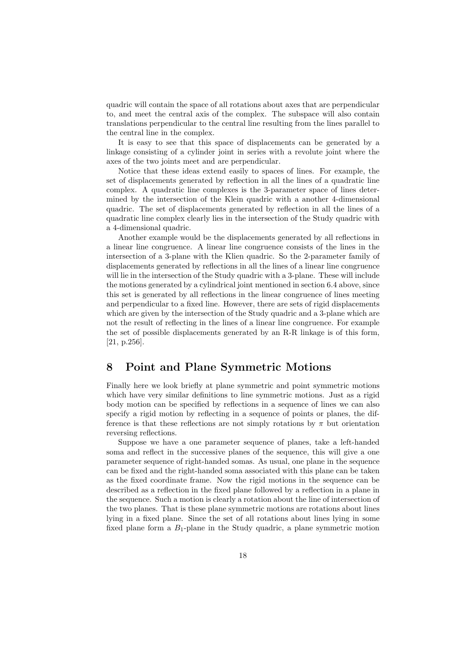quadric will contain the space of all rotations about axes that are perpendicular to, and meet the central axis of the complex. The subspace will also contain translations perpendicular to the central line resulting from the lines parallel to the central line in the complex.

It is easy to see that this space of displacements can be generated by a linkage consisting of a cylinder joint in series with a revolute joint where the axes of the two joints meet and are perpendicular.

Notice that these ideas extend easily to spaces of lines. For example, the set of displacements generated by reflection in all the lines of a quadratic line complex. A quadratic line complexes is the 3-parameter space of lines determined by the intersection of the Klein quadric with a another 4-dimensional quadric. The set of displacements generated by reflection in all the lines of a quadratic line complex clearly lies in the intersection of the Study quadric with a 4-dimensional quadric.

Another example would be the displacements generated by all reflections in a linear line congruence. A linear line congruence consists of the lines in the intersection of a 3-plane with the Klien quadric. So the 2-parameter family of displacements generated by reflections in all the lines of a linear line congruence will lie in the intersection of the Study quadric with a 3-plane. These will include the motions generated by a cylindrical joint mentioned in section 6.4 above, since this set is generated by all reflections in the linear congruence of lines meeting and perpendicular to a fixed line. However, there are sets of rigid displacements which are given by the intersection of the Study quadric and a 3-plane which are not the result of reflecting in the lines of a linear line congruence. For example the set of possible displacements generated by an R-R linkage is of this form, [21, p.256].

# 8 Point and Plane Symmetric Motions

Finally here we look briefly at plane symmetric and point symmetric motions which have very similar definitions to line symmetric motions. Just as a rigid body motion can be specified by reflections in a sequence of lines we can also specify a rigid motion by reflecting in a sequence of points or planes, the difference is that these reflections are not simply rotations by  $\pi$  but orientation reversing reflections.

Suppose we have a one parameter sequence of planes, take a left-handed soma and reflect in the successive planes of the sequence, this will give a one parameter sequence of right-handed somas. As usual, one plane in the sequence can be fixed and the right-handed soma associated with this plane can be taken as the fixed coordinate frame. Now the rigid motions in the sequence can be described as a reflection in the fixed plane followed by a reflection in a plane in the sequence. Such a motion is clearly a rotation about the line of intersection of the two planes. That is these plane symmetric motions are rotations about lines lying in a fixed plane. Since the set of all rotations about lines lying in some fixed plane form a  $B_1$ -plane in the Study quadric, a plane symmetric motion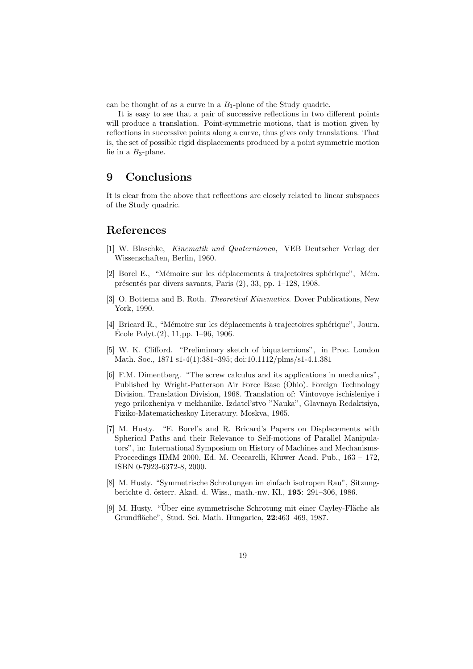can be thought of as a curve in a  $B_1$ -plane of the Study quadric.

It is easy to see that a pair of successive reflections in two different points will produce a translation. Point-symmetric motions, that is motion given by reflections in successive points along a curve, thus gives only translations. That is, the set of possible rigid displacements produced by a point symmetric motion lie in a  $B_3$ -plane.

# 9 Conclusions

It is clear from the above that reflections are closely related to linear subspaces of the Study quadric.

### References

- [1] W. Blaschke, Kinematik und Quaternionen, VEB Deutscher Verlag der Wissenschaften, Berlin, 1960.
- [2] Borel E., "Mémoire sur les déplacements à trajectoires sphérique", Mém. présentés par divers savants, Paris  $(2)$ , 33, pp. 1–128, 1908.
- [3] O. Bottema and B. Roth. Theoretical Kinematics. Dover Publications, New York, 1990.
- [4] Bricard R., "Mémoire sur les déplacements à trajectoires sphérique", Journ. Ecole Polyt. $(2)$ , 11,pp. 1–96, 1906.
- [5] W. K. Clifford. "Preliminary sketch of biquaternions", in Proc. London Math. Soc., 1871 s1-4(1):381–395; doi:10.1112/plms/s1-4.1.381
- [6] F.M. Dimentberg. "The screw calculus and its applications in mechanics", Published by Wright-Patterson Air Force Base (Ohio). Foreign Technology Division. Translation Division, 1968. Translation of: Vintovoye ischisleniye i yego prilozheniya v mekhanike. Izdatel'stvo "Nauka", Glavnaya Redaktsiya, Fiziko-Matematicheskoy Literatury. Moskva, 1965.
- [7] M. Husty. "E. Borel's and R. Bricard's Papers on Displacements with Spherical Paths and their Relevance to Self-motions of Parallel Manipulators", in: International Symposium on History of Machines and Mechanisms-Proceedings HMM 2000, Ed. M. Ceccarelli, Kluwer Acad. Pub., 163 – 172, ISBN 0-7923-6372-8, 2000.
- [8] M. Husty. "Symmetrische Schrotungen im einfach isotropen Rau", Sitzungberichte d. österr. Akad. d. Wiss., math.-nw. Kl., 195: 291–306, 1986.
- [9] M. Husty. "Über eine symmetrische Schrotung mit einer Cayley-Fläche als Grundfläche", Stud. Sci. Math. Hungarica, 22:463-469, 1987.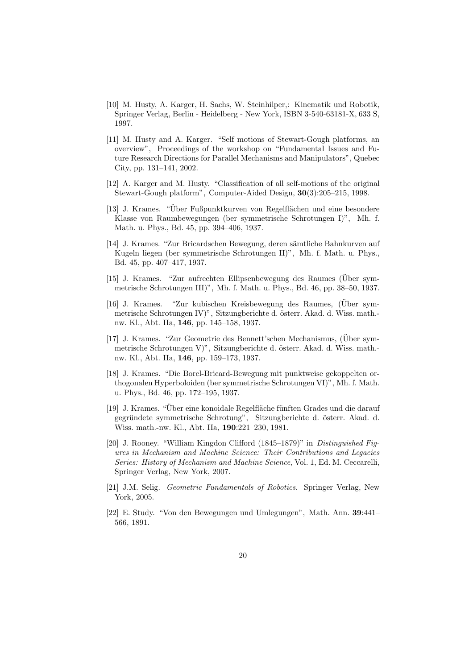- [10] M. Husty, A. Karger, H. Sachs, W. Steinhilper,: Kinematik und Robotik, Springer Verlag, Berlin - Heidelberg - New York, ISBN 3-540-63181-X, 633 S, 1997.
- [11] M. Husty and A. Karger. "Self motions of Stewart-Gough platforms, an overview", Proceedings of the workshop on "Fundamental Issues and Future Research Directions for Parallel Mechanisms and Manipulators", Quebec City, pp. 131–141, 2002.
- [12] A. Karger and M. Husty. "Classification of all self-motions of the original Stewart-Gough platform", Computer-Aided Design, 30(3):205–215, 1998.
- [13] J. Krames. "Über Fußpunktkurven von Regelflächen und eine besondere Klasse von Raumbewegungen (ber symmetrische Schrotungen I)", Mh. f. Math. u. Phys., Bd. 45, pp. 394–406, 1937.
- [14] J. Krames. "Zur Bricardschen Bewegung, deren sämtliche Bahnkurven auf Kugeln liegen (ber symmetrische Schrotungen II)", Mh. f. Math. u. Phys., Bd. 45, pp. 407–417, 1937.
- [15] J. Krames. "Zur aufrechten Ellipsenbewegung des Raumes (Uber sym- ¨ metrische Schrotungen III)", Mh. f. Math. u. Phys., Bd. 46, pp. 38–50, 1937.
- [16] J. Krames. "Zur kubischen Kreisbewegung des Raumes, (Uber symmetrische Schrotungen IV)", Sitzungberichte d. österr. Akad. d. Wiss. math.nw. Kl., Abt. IIa, 146, pp. 145–158, 1937.
- [17] J. Krames. "Zur Geometrie des Bennett'schen Mechanismus, (Uber sym- ¨ metrische Schrotungen V)", Sitzungberichte d. österr. Akad. d. Wiss. math.nw. Kl., Abt. IIa, 146, pp. 159–173, 1937.
- [18] J. Krames. "Die Borel-Bricard-Bewegung mit punktweise gekoppelten orthogonalen Hyperboloiden (ber symmetrische Schrotungen VI)", Mh. f. Math. u. Phys., Bd. 46, pp. 172–195, 1937.
- [19] J. Krames. "Uber eine konoidale Regelfläche fünften Grades und die darauf gegründete symmetrische Schrotung", Sitzungberichte d. österr. Akad. d. Wiss. math.-nw. Kl., Abt. IIa, 190:221–230, 1981.
- [20] J. Rooney. "William Kingdon Clifford (1845–1879)" in Distinguished Figures in Mechanism and Machine Science: Their Contributions and Legacies Series: History of Mechanism and Machine Science, Vol. 1, Ed. M. Ceccarelli, Springer Verlag, New York, 2007.
- [21] J.M. Selig. Geometric Fundamentals of Robotics. Springer Verlag, New York, 2005.
- [22] E. Study. "Von den Bewegungen und Umlegungen", Math. Ann. 39:441– 566, 1891.